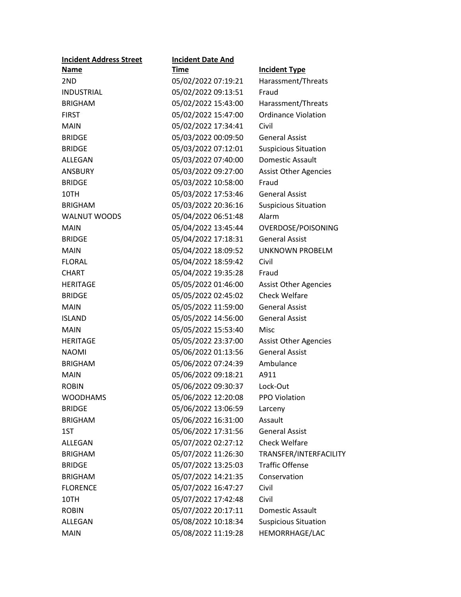| <b>Incident Address Street</b> | <b>Incident Date And</b> |                              |
|--------------------------------|--------------------------|------------------------------|
| <b>Name</b>                    | <b>Time</b>              | <b>Incident Type</b>         |
| 2ND                            | 05/02/2022 07:19:21      | Harassment/Threats           |
| <b>INDUSTRIAL</b>              | 05/02/2022 09:13:51      | Fraud                        |
| <b>BRIGHAM</b>                 | 05/02/2022 15:43:00      | Harassment/Threats           |
| <b>FIRST</b>                   | 05/02/2022 15:47:00      | <b>Ordinance Violation</b>   |
| <b>MAIN</b>                    | 05/02/2022 17:34:41      | Civil                        |
| <b>BRIDGE</b>                  | 05/03/2022 00:09:50      | <b>General Assist</b>        |
| <b>BRIDGE</b>                  | 05/03/2022 07:12:01      | <b>Suspicious Situation</b>  |
| ALLEGAN                        | 05/03/2022 07:40:00      | Domestic Assault             |
| <b>ANSBURY</b>                 | 05/03/2022 09:27:00      | <b>Assist Other Agencies</b> |
| <b>BRIDGE</b>                  | 05/03/2022 10:58:00      | Fraud                        |
| 10TH                           | 05/03/2022 17:53:46      | <b>General Assist</b>        |
| <b>BRIGHAM</b>                 | 05/03/2022 20:36:16      | <b>Suspicious Situation</b>  |
| <b>WALNUT WOODS</b>            | 05/04/2022 06:51:48      | Alarm                        |
| <b>MAIN</b>                    | 05/04/2022 13:45:44      | OVERDOSE/POISONING           |
| <b>BRIDGE</b>                  | 05/04/2022 17:18:31      | <b>General Assist</b>        |
| <b>MAIN</b>                    | 05/04/2022 18:09:52      | UNKNOWN PROBELM              |
| <b>FLORAL</b>                  | 05/04/2022 18:59:42      | Civil                        |
| <b>CHART</b>                   | 05/04/2022 19:35:28      | Fraud                        |
| <b>HERITAGE</b>                | 05/05/2022 01:46:00      | <b>Assist Other Agencies</b> |
| <b>BRIDGE</b>                  | 05/05/2022 02:45:02      | <b>Check Welfare</b>         |
| <b>MAIN</b>                    | 05/05/2022 11:59:00      | <b>General Assist</b>        |
| <b>ISLAND</b>                  | 05/05/2022 14:56:00      | <b>General Assist</b>        |
| <b>MAIN</b>                    | 05/05/2022 15:53:40      | Misc                         |
| <b>HERITAGE</b>                | 05/05/2022 23:37:00      | <b>Assist Other Agencies</b> |
| <b>NAOMI</b>                   | 05/06/2022 01:13:56      | <b>General Assist</b>        |
| <b>BRIGHAM</b>                 | 05/06/2022 07:24:39      | Ambulance                    |
| <b>MAIN</b>                    | 05/06/2022 09:18:21      | A911                         |
| <b>ROBIN</b>                   | 05/06/2022 09:30:37      | Lock-Out                     |
| <b>WOODHAMS</b>                | 05/06/2022 12:20:08      | PPO Violation                |
| <b>BRIDGE</b>                  | 05/06/2022 13:06:59      | Larceny                      |
| <b>BRIGHAM</b>                 | 05/06/2022 16:31:00      | Assault                      |
| 1ST                            | 05/06/2022 17:31:56      | <b>General Assist</b>        |
| ALLEGAN                        | 05/07/2022 02:27:12      | Check Welfare                |
| <b>BRIGHAM</b>                 | 05/07/2022 11:26:30      | TRANSFER/INTERFACILITY       |
| <b>BRIDGE</b>                  | 05/07/2022 13:25:03      | <b>Traffic Offense</b>       |
| <b>BRIGHAM</b>                 | 05/07/2022 14:21:35      | Conservation                 |
| <b>FLORENCE</b>                | 05/07/2022 16:47:27      | Civil                        |
| 10TH                           | 05/07/2022 17:42:48      | Civil                        |
| <b>ROBIN</b>                   | 05/07/2022 20:17:11      | Domestic Assault             |
| ALLEGAN                        | 05/08/2022 10:18:34      | <b>Suspicious Situation</b>  |
| <b>MAIN</b>                    | 05/08/2022 11:19:28      | HEMORRHAGE/LAC               |